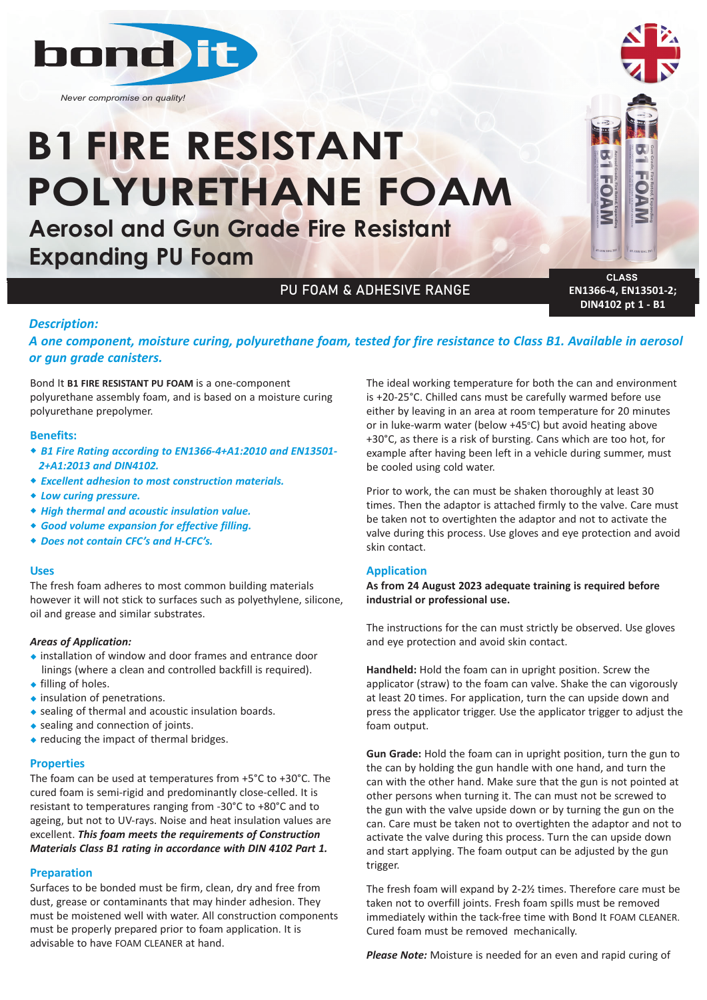

*Never compromise on quality!*

# **B1FIRE RESISTANT POLYURETHANE FOAM**

**Aerosol and Gun Grade Fire Resistant Expanding PU Foam**

# PU FOAM & ADHESIVE RANGE

**CLASS EN1366-4, EN13501-2; DIN4102 pt 1 - B1**

### *Description:*

# *A one component, moisture curing, polyurethane foam, tested for fire resistance to Class B1. Available in aerosol or gun grade canisters.*

Bond It **B1 FIRE RESISTANT PU FOAM** is a one-component polyurethane assembly foam, and is based on a moisture curing polyurethane prepolymer.

#### **Benefits:**

- w *B1 Fire Rating according to EN1366‐4+A1:2010 and EN13501‐ 2+A1:2013 and DIN4102.*
- w *Excellent adhesion to most construction materials.*
- $*$  Low curing pressure.
- w *High thermal and acoustic insulation value.*
- **\*** Good volume expansion for effective filling.
- w *Does not contain CFC's and H‐CFC's.*

#### **Uses**

The fresh foam adheres to most common building materials however it will not stick to surfaces such as polyethylene, silicone, oil and grease and similar substrates.

#### *Areas of Application:*

- $\bullet$  installation of window and door frames and entrance door linings (where a clean and controlled backfill is required).  $\bullet$  filling of holes.
- 
- $\bullet$  insulation of penetrations.
- $\bullet$  sealing of thermal and acoustic insulation boards.
- $\bullet$  sealing and connection of joints.
- $\bullet$  reducing the impact of thermal bridges.

#### **Properties**

The foam can be used at temperatures from +5°C to +30°C. The cured foam is semi-rigid and predominantly close-celled. It is resistant to temperatures ranging from -30°C to +80°C and to ageing, but not to UV-rays. Noise and heat insulation values are excellent. *This foam meets the requirements of Construction Materials Class B1 rating in accordance with DIN 4102 Part 1.*

#### **Preparation**

Surfaces to be bonded must be firm, clean, dry and free from dust, grease or contaminants that may hinder adhesion. They must be moistened well with water. All construction components must be properly prepared prior to foam application. It is advisable to have FOAM CLEANER at hand.

The ideal working temperature for both the can and environment is +20-25°C. Chilled cans must be carefully warmed before use either by leaving in an area at room temperature for 20 minutes or in luke-warm water (below +45°C) but avoid heating above +30°C, as there is a risk of bursting. Cans which are too hot, for example after having been left in a vehicle during summer, must be cooled using cold water.

Prior to work, the can must be shaken thoroughly at least 30 times. Then the adaptor is attached firmly to the valve. Care must be taken not to overtighten the adaptor and not to activate the valve during this process. Use gloves and eye protection and avoid skin contact.

#### **Application**

**As from 24 August 2023 adequate training is required before industrial or professional use.**

The instructions for the can must strictly be observed. Use gloves and eye protection and avoid skin contact.

**Handheld:** Hold the foam can in upright position. Screw the applicator (straw) to the foam can valve. Shake the can vigorously at least 20 times. For application, turn the can upside down and press the applicator trigger. Use the applicator trigger to adjust the foam output.

**Gun Grade:** Hold the foam can in upright position, turn the gun to the can by holding the gun handle with one hand, and turn the can with the other hand. Make sure that the gun is not pointed at other persons when turning it. The can must not be screwed to the gun with the valve upside down or by turning the gun on the can. Care must be taken not to overtighten the adaptor and not to activate the valve during this process. Turn the can upside down and start applying. The foam output can be adjusted by the gun trigger.

The fresh foam will expand by 2-2½ times. Therefore care must be taken not to overfill joints. Fresh foam spills must be removed immediately within the tack-free time with Bond It FOAM CLEANER. Cured foam must be removed mechanically.

*Please Note:* Moisture is needed for an even and rapid curing of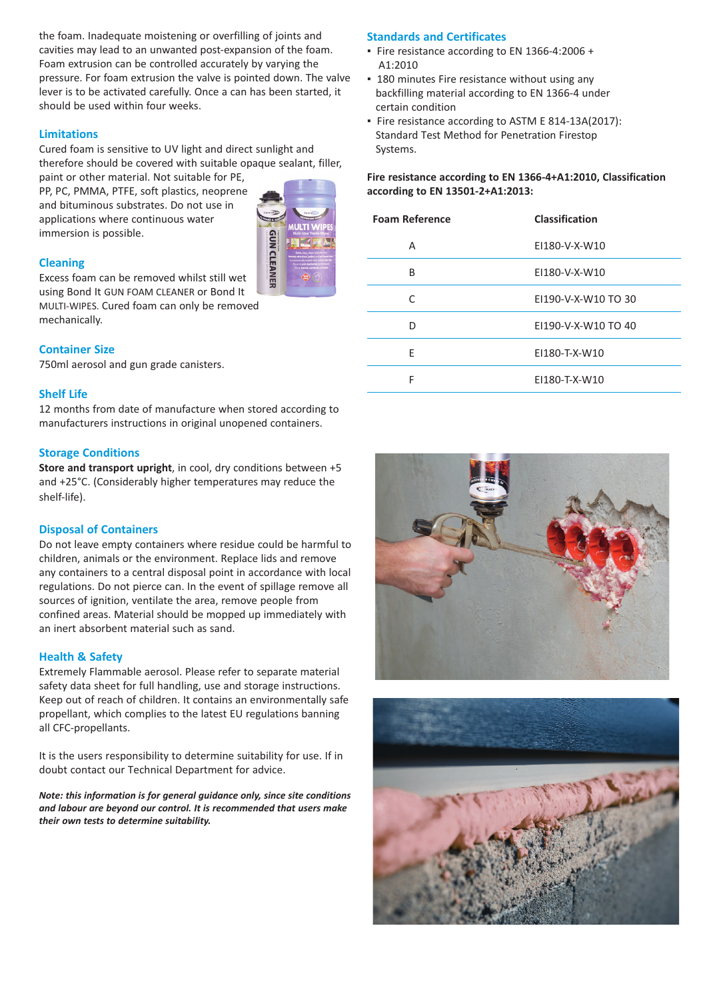the foam. Inadequate moistening or overfilling of joints and cavities may lead to an unwanted post-expansion of the foam. Foam extrusion can be controlled accurately by varying the pressure. For foam extrusion the valve is pointed down. The valve lever is to be activated carefully. Once a can has been started, it should be used within four weeks.

#### **Limitations**

Cured foam is sensitive to UV light and direct sunlight and therefore should be covered with suitable opaque sealant, filler, paint or other material. Not suitable for PE,

PP, PC, PMMA, PTFE, soft plastics, neoprene and bituminous substrates. Do not use in applications where continuous water immersion is possible.



#### **Cleaning**

Excess foam can be removed whilst still wet using Bond It GUN FOAM CLEANER or Bond It MULTI-WIPES. Cured foam can only be removed mechanically.

#### **Container Size**

750ml aerosol and gun grade canisters.

#### **Shelf Life**

12 months from date of manufacture when stored according to manufacturers instructions in original unopened containers.

#### **Storage Conditions**

**Store and transport upright**, in cool, dry conditions between +5 and +25°C. (Considerably higher temperatures may reduce the shelf-life).

#### **Disposal of Containers**

Do not leave empty containers where residue could be harmful to children, animals or the environment. Replace lids and remove any containers to a central disposal point in accordance with local regulations. Do not pierce can. In the event of spillage remove all sources of ignition, ventilate the area, remove people from confined areas. Material should be mopped up immediately with an inert absorbent material such as sand.

#### **Health & Safety**

Extremely Flammable aerosol. Please refer to separate material safety data sheet for full handling, use and storage instructions. Keep out of reach of children. It contains an environmentally safe propellant, which complies to the latest EU regulations banning all CFC-propellants.

It is the users responsibility to determine suitability for use. If in doubt contact our Technical Department for advice.

*Note: this information is for general guidance only, since site conditions and labour are beyond our control. It is recommended that users make their own tests to determine suitability.* 

#### **Standards and Certificates**

- Fire resistance according to EN 1366-4:2006 + A1:2010
- **180 minutes Fire resistance without using any** backfilling material according to EN 1366-4 under certain condition
- Fire resistance according to ASTM E 814-13A(2017): Standard Test Method for Penetration Firestop Systems.

#### **Fire resistance according to EN 1366-4+A1:2010, Classification according to EN 13501-2+A1:2013:**

| <b>Foam Reference</b> | <b>Classification</b> |
|-----------------------|-----------------------|
| А                     | EI180-V-X-W10         |
| B                     | EI180-V-X-W10         |
| C                     | E1190-V-X-W10 TO 30   |
| n                     | EI190-V-X-W10 TO 40   |
| F                     | EI180-T-X-W10         |
| F                     | EI180-T-X-W10         |